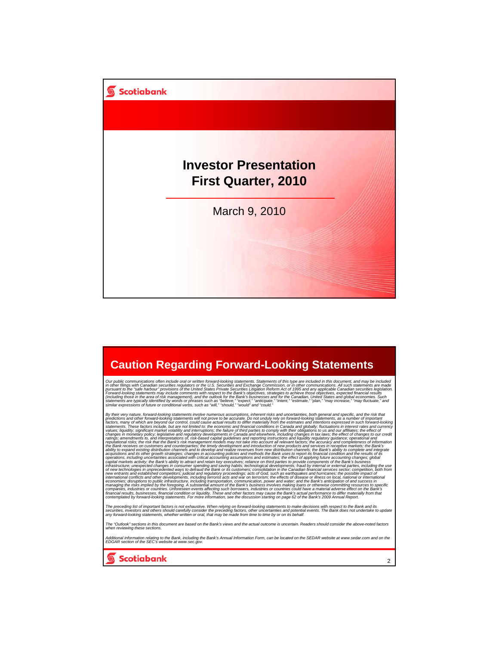

### **Caution Regarding Forward-Looking Statements**

Our public communications often include oral or written forward-looking statements. Statements of this ype are included in this document, and may be included in this document, and may be included in this document, and may statements are typically identified by words or phrases such as "believe," "expect," "anticipate," "hent," "estimate," "plan," "may increase," "may fluctuate," and<br>similar expressions of future or conditional verbs, such a

By their very nature, forward-looking statements involve numerous assumptions, inherent risks and uncertainties, both general and specific, and the risk that the risk that the risk that the risk that the risk that is a mar capital markets activity; the Bank's ability to attract and retains the standard memory of the memory of the Bank's business incomparation in the memory of the Bank's business including the use<br>of new technologies in unpre international conflicts and other developments, including terrorist acts and war on terrorism; the effects of disease or illness on local, national or international economies; disruptions to public infrastructure, includin

The preceding list of important factors is not exhaustive. When relying on forward-looking statements to make decisions with respect to the Bank and its<br>securities, investors and others should carefully consider the preced

*The "Outlook" sections in this document are based on the Bank's views and the actual outcome is uncertain. Readers should consider the above-noted factors when reviewing these sections.*

Additional information relating to the Bank, including the Bank's Annual Information Form, can be located on the SEDAR website at www.sedar.com and on the<br>EDGAR section of the SEC's website at www.sec.gov.

**Scotiabank**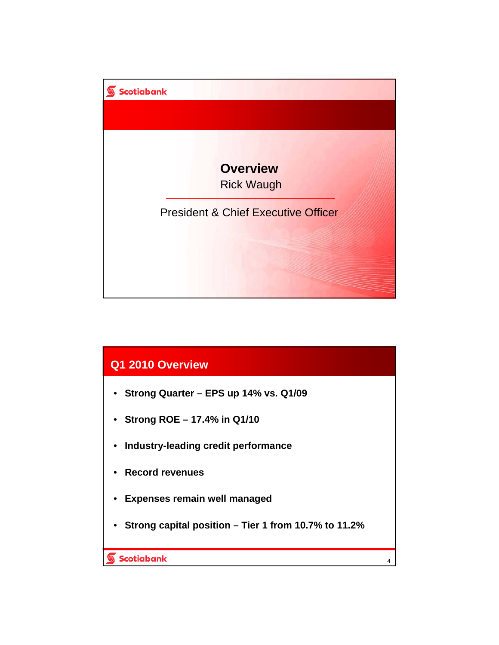

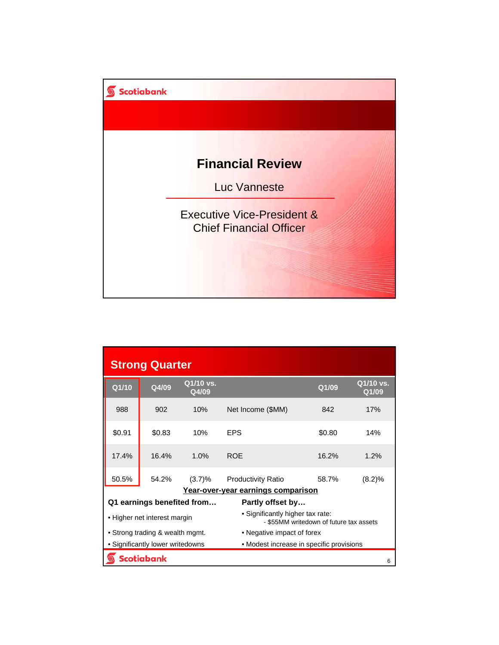

| <b>Strong Quarter</b>            |                   |                         |                                                                             |        |                    |  |  |  |
|----------------------------------|-------------------|-------------------------|-----------------------------------------------------------------------------|--------|--------------------|--|--|--|
| Q1/10                            | Q4/09             | $Q_{1/10}$ vs.<br>Q4/09 |                                                                             | Q1/09  | Q1/10 vs.<br>Q1/09 |  |  |  |
| 988                              | 902               | 10%                     | Net Income (\$MM)                                                           | 842    | 17%                |  |  |  |
| \$0.91                           | \$0.83            | 10%                     | <b>FPS</b>                                                                  | \$0.80 | 14%                |  |  |  |
| 17.4%                            | 16.4%             | 1.0%                    | <b>ROE</b>                                                                  | 16.2%  | 1.2%               |  |  |  |
| 50.5%                            | 54.2%             | (3.7)%                  | <b>Productivity Ratio</b>                                                   | 58.7%  | (8.2)%             |  |  |  |
|                                  |                   |                         | Year-over-year earnings comparison                                          |        |                    |  |  |  |
| Q1 earnings benefited from       |                   |                         | Partly offset by                                                            |        |                    |  |  |  |
| • Higher net interest margin     |                   |                         | • Significantly higher tax rate:<br>- \$55MM writedown of future tax assets |        |                    |  |  |  |
| • Strong trading & wealth mgmt.  |                   |                         | • Negative impact of forex                                                  |        |                    |  |  |  |
| • Significantly lower writedowns |                   |                         | • Modest increase in specific provisions                                    |        |                    |  |  |  |
|                                  | <b>Scotiabank</b> |                         |                                                                             |        | 6                  |  |  |  |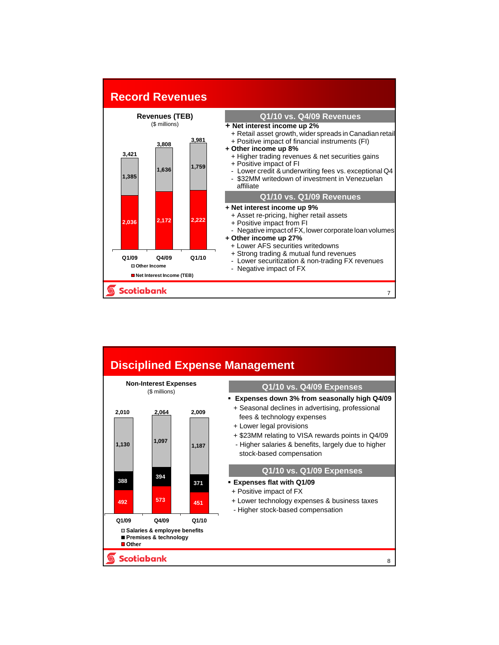

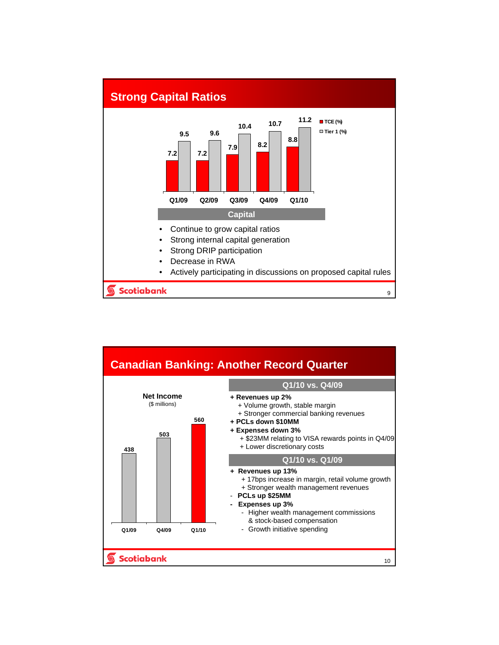

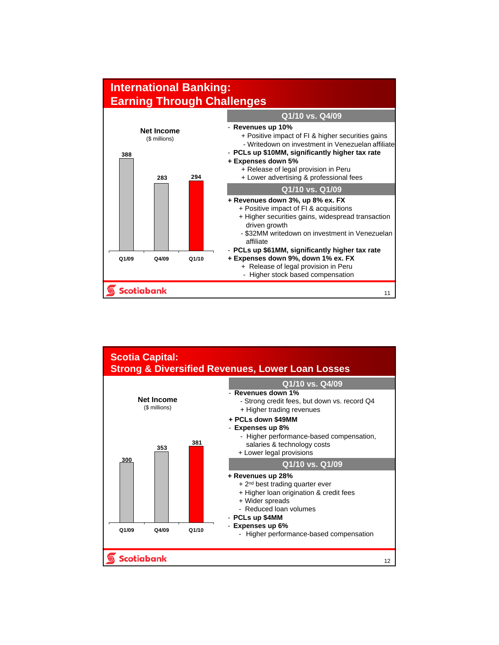

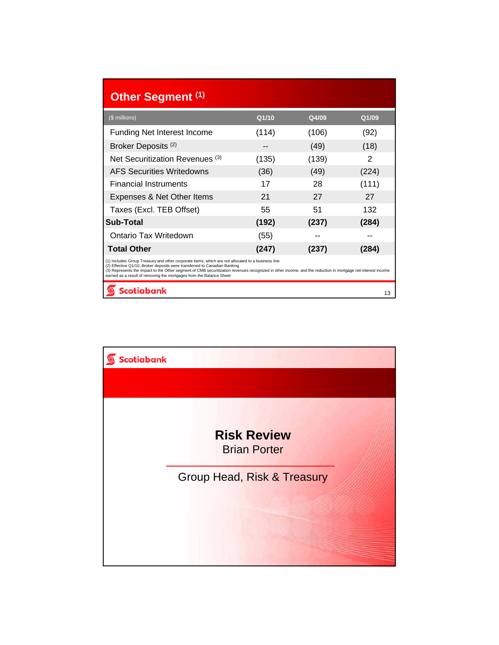| Other Segment (1)                                                                                                                                                                                                                                                                                                                                                                                                    |       |       |       |  |  |  |
|----------------------------------------------------------------------------------------------------------------------------------------------------------------------------------------------------------------------------------------------------------------------------------------------------------------------------------------------------------------------------------------------------------------------|-------|-------|-------|--|--|--|
| (\$ millions)                                                                                                                                                                                                                                                                                                                                                                                                        | Q1/10 | Q4/09 | Q1/09 |  |  |  |
| <b>Funding Net Interest Income</b>                                                                                                                                                                                                                                                                                                                                                                                   | (114) | (106) | (92)  |  |  |  |
| Broker Deposits <sup>(2)</sup>                                                                                                                                                                                                                                                                                                                                                                                       |       | (49)  | (18)  |  |  |  |
| Net Securitization Revenues (3)                                                                                                                                                                                                                                                                                                                                                                                      | (135) | (139) | 2     |  |  |  |
| <b>AFS Securities Writedowns</b>                                                                                                                                                                                                                                                                                                                                                                                     | (36)  | (49)  | (224) |  |  |  |
| <b>Financial Instruments</b>                                                                                                                                                                                                                                                                                                                                                                                         | 17    | 28    | (111) |  |  |  |
| Expenses & Net Other Items                                                                                                                                                                                                                                                                                                                                                                                           | 21    | 27    | 27    |  |  |  |
| Taxes (Excl. TEB Offset)                                                                                                                                                                                                                                                                                                                                                                                             | 55    | 51    | 132   |  |  |  |
| <b>Sub-Total</b>                                                                                                                                                                                                                                                                                                                                                                                                     | (192) | (237) | (284) |  |  |  |
| Ontario Tax Writedown                                                                                                                                                                                                                                                                                                                                                                                                | (55)  |       |       |  |  |  |
| <b>Total Other</b>                                                                                                                                                                                                                                                                                                                                                                                                   | (247) | (237) | (284) |  |  |  |
| (1) Includes Group Treasury and other corporate items, which are not allocated to a business line<br>(2) Effective Q1/10, Broker deposits were transferred to Canadian Banking<br>(3) Represents the impact to the Other segment of CMB securitization revenues recognized in other income, and the reduction in mortgage net interest income<br>earned as a result of removing the mortgages from the Balance Sheet |       |       |       |  |  |  |
| <b>Scotiabank</b>                                                                                                                                                                                                                                                                                                                                                                                                    |       |       | 13    |  |  |  |

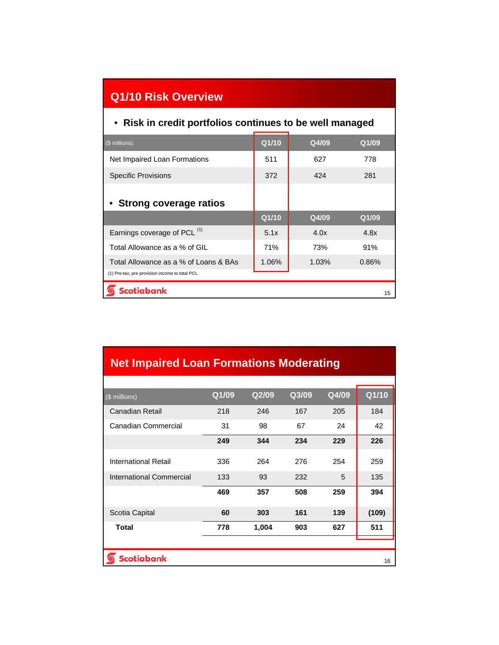# **Q1/10 Risk Overview**

## • **Risk in credit portfolios continues to be well managed**

| (\$ millions)                                  | Q1/10 | Q4/09 | Q1/09 |
|------------------------------------------------|-------|-------|-------|
| Net Impaired Loan Formations                   | 511   | 627   | 778   |
| <b>Specific Provisions</b>                     | 372   | 424   | 281   |
| • Strong coverage ratios                       |       |       |       |
|                                                | Q1/10 | Q4/09 | Q1/09 |
| Earnings coverage of PCL (1)                   | 5.1x  | 4.0x  | 4.8x  |
| Total Allowance as a % of GIL                  | 71%   | 73%   | 91%   |
| Total Allowance as a % of Loans & BAs          | 1.06% | 1.03% | 0.86% |
| (1) Pre-tax, pre-provision income to total PCL |       |       |       |
| Scotiabank                                     |       |       | 15    |

# **Net Impaired Loan Formations Moderating**

| Q1/09 | Q2/09 | Q3/09 | Q4/09 | Q1/10 |
|-------|-------|-------|-------|-------|
| 218   | 246   | 167   | 205   | 184   |
| 31    | 98    | 67    | 24    | 42    |
| 249   | 344   | 234   | 229   | 226   |
| 336   | 264   | 276   | 254   | 259   |
| 133   | 93    | 232   | 5     | 135   |
| 469   | 357   | 508   | 259   | 394   |
| 60    | 303   | 161   | 139   | (109) |
| 778   | 1,004 | 903   | 627   | 511   |
|       |       |       |       |       |
|       |       |       |       | 16    |
|       |       |       |       |       |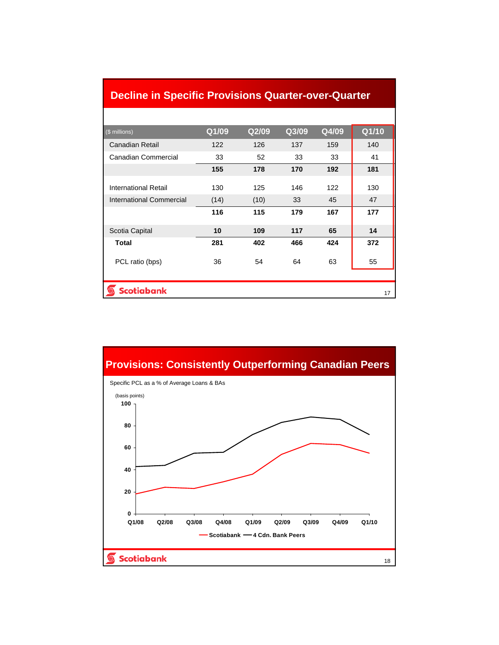| (\$ millions)                   | Q1/09 | Q2/09 | Q3/09 | Q4/09 | Q1/10 |
|---------------------------------|-------|-------|-------|-------|-------|
| <b>Canadian Retail</b>          | 122   | 126   | 137   | 159   | 140   |
| Canadian Commercial             | 33    | 52    | 33    | 33    | 41    |
|                                 | 155   | 178   | 170   | 192   | 181   |
| <b>International Retail</b>     | 130   | 125   | 146   | 122   | 130   |
| <b>International Commercial</b> | (14)  | (10)  | 33    | 45    | 47    |
|                                 | 116   | 115   | 179   | 167   | 177   |
| Scotia Capital                  | 10    | 109   | 117   | 65    | 14    |
| <b>Total</b>                    | 281   | 402   | 466   | 424   | 372   |
| PCL ratio (bps)                 | 36    | 54    | 64    | 63    | 55    |
|                                 |       |       |       |       |       |
| <b>Scotiabank</b>               |       |       |       |       | 17    |

### **Decline in Specific Provisions Quarter-over-Quarter**

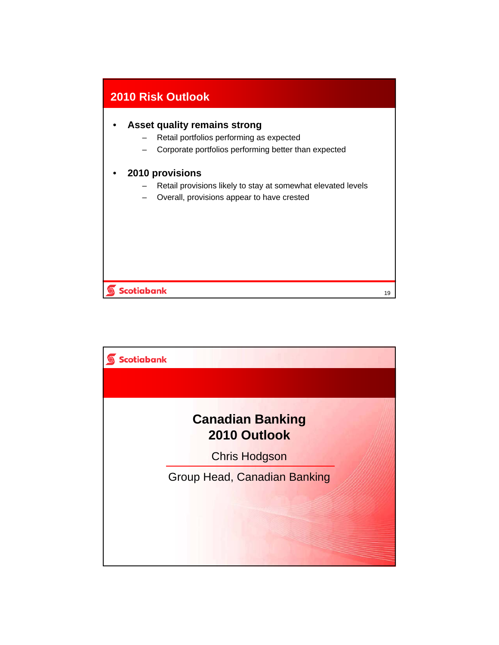## **2010 Risk Outlook**

#### • **Asset quality remains strong**

- Retail portfolios performing as expected
- Corporate portfolios performing better than expected

#### • **2010 provisions**

– Retail provisions likely to stay at somewhat elevated levels

19

– Overall, provisions appear to have crested

Scotiabank

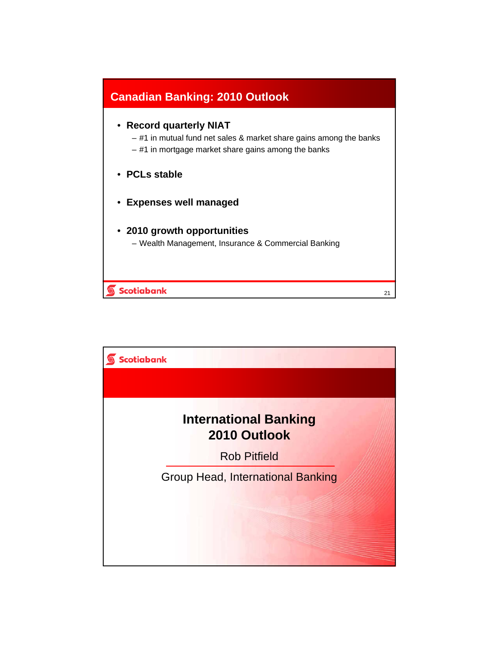

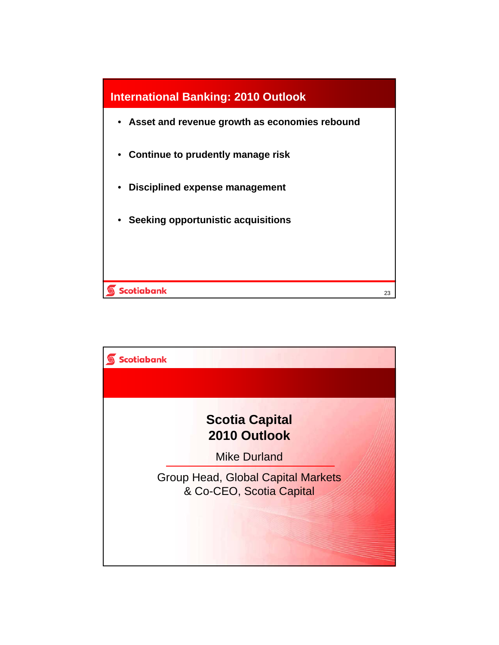

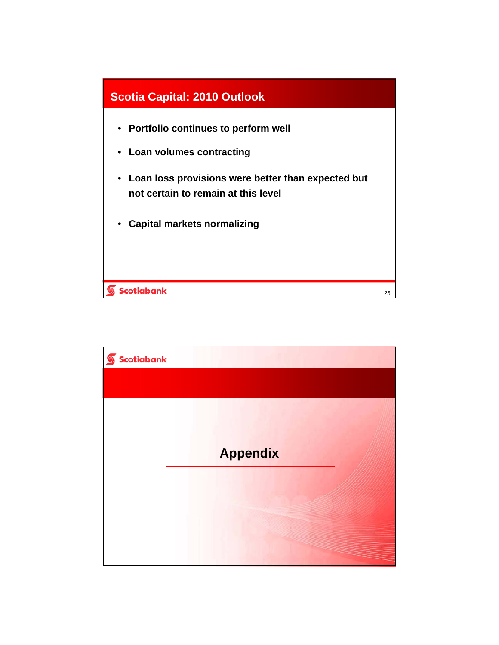

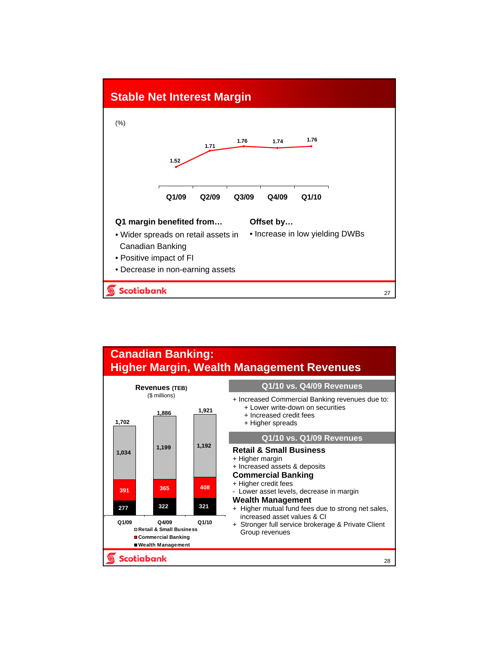

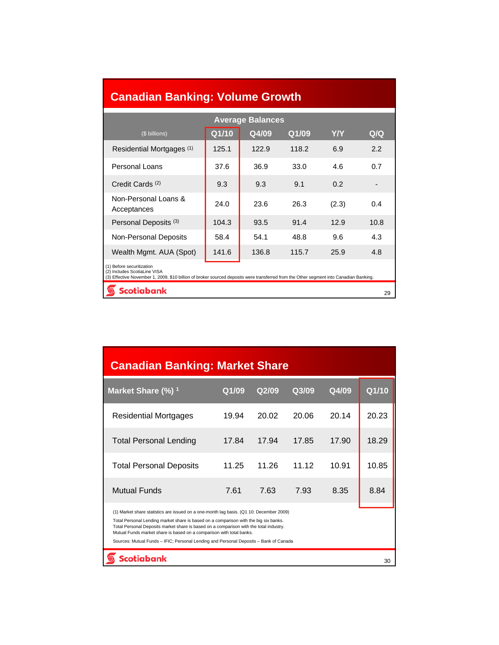| <b>Canadian Banking: Volume Growth</b>                                                                                                                                                              |       |       |       |       |      |  |  |  |
|-----------------------------------------------------------------------------------------------------------------------------------------------------------------------------------------------------|-------|-------|-------|-------|------|--|--|--|
| <b>Average Balances</b>                                                                                                                                                                             |       |       |       |       |      |  |  |  |
| (\$ billions)                                                                                                                                                                                       | Q1/10 | Q4/09 | Q1/09 | Y/Y   | Q/Q  |  |  |  |
| Residential Mortgages (1)                                                                                                                                                                           | 125.1 | 122.9 | 118.2 | 6.9   | 2.2  |  |  |  |
| Personal Loans                                                                                                                                                                                      | 37.6  | 36.9  | 33.0  | 4.6   | 0.7  |  |  |  |
| Credit Cards <sup>(2)</sup>                                                                                                                                                                         | 9.3   | 9.3   | 9.1   | 0.2   |      |  |  |  |
| Non-Personal Loans &<br>Acceptances                                                                                                                                                                 | 24.0  | 23.6  | 26.3  | (2.3) | 0.4  |  |  |  |
| Personal Deposits <sup>(3)</sup>                                                                                                                                                                    | 104.3 | 93.5  | 91.4  | 12.9  | 10.8 |  |  |  |
| Non-Personal Deposits                                                                                                                                                                               | 58.4  | 54.1  | 48.8  | 9.6   | 4.3  |  |  |  |
| Wealth Mgmt. AUA (Spot)                                                                                                                                                                             | 141.6 | 136.8 | 115.7 | 25.9  | 4.8  |  |  |  |
| (1) Before securitization<br>(2) Includes ScotiaLine VISA<br>(3) Effective November 1, 2009, \$10 billion of broker sourced deposits were transferred from the Other segment into Canadian Banking. |       |       |       |       |      |  |  |  |
| Scotiabank<br>29                                                                                                                                                                                    |       |       |       |       |      |  |  |  |

| <b>Canadian Banking: Market Share</b>                                                                                                                                                                                                                                                                                                                                                                                                      |       |       |       |       |       |  |  |
|--------------------------------------------------------------------------------------------------------------------------------------------------------------------------------------------------------------------------------------------------------------------------------------------------------------------------------------------------------------------------------------------------------------------------------------------|-------|-------|-------|-------|-------|--|--|
| Market Share (%) <sup>1</sup>                                                                                                                                                                                                                                                                                                                                                                                                              | Q1/09 | Q2/09 | Q3/09 | Q4/09 | Q1/10 |  |  |
| <b>Residential Mortgages</b>                                                                                                                                                                                                                                                                                                                                                                                                               | 19.94 | 20.02 | 20.06 | 20.14 | 20.23 |  |  |
| Total Personal Lending                                                                                                                                                                                                                                                                                                                                                                                                                     | 17.84 | 17.94 | 17.85 | 17.90 | 18.29 |  |  |
| <b>Total Personal Deposits</b>                                                                                                                                                                                                                                                                                                                                                                                                             | 11.25 | 11.26 | 11.12 | 10.91 | 10.85 |  |  |
| <b>Mutual Funds</b>                                                                                                                                                                                                                                                                                                                                                                                                                        | 7.61  | 7.63  | 7.93  | 8.35  | 8.84  |  |  |
| (1) Market share statistics are issued on a one-month lag basis. (Q1 10: December 2009)<br>Total Personal Lending market share is based on a comparison with the big six banks.<br>Total Personal Deposits market share is based on a comparison with the total industry.<br>Mutual Funds market share is based on a comparison with total banks.<br>Sources: Mutual Funds - IFIC; Personal Lending and Personal Deposits - Bank of Canada |       |       |       |       |       |  |  |
| Scotiabank                                                                                                                                                                                                                                                                                                                                                                                                                                 |       |       |       |       | 30    |  |  |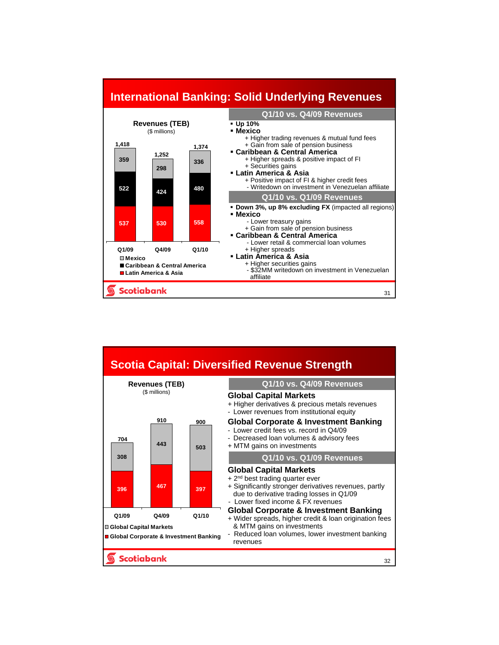

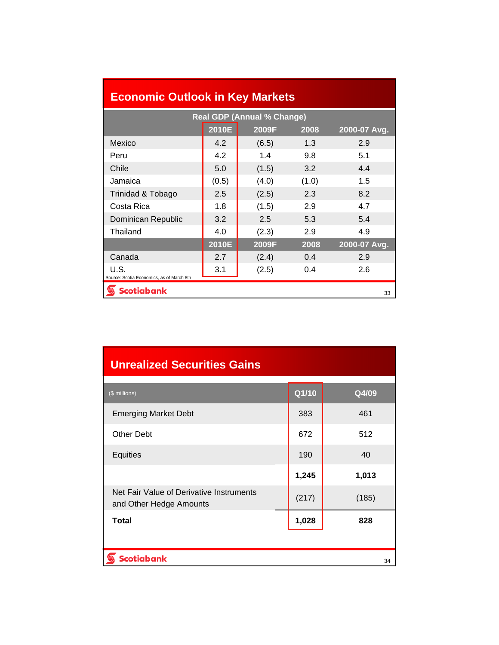| <b>Economic Outlook in Key Markets</b>    |       |       |       |              |  |  |  |
|-------------------------------------------|-------|-------|-------|--------------|--|--|--|
| <b>Real GDP (Annual % Change)</b>         |       |       |       |              |  |  |  |
|                                           | 2010E | 2009F | 2008  | 2000-07 Avg. |  |  |  |
| Mexico                                    | 4.2   | (6.5) | 1.3   | 2.9          |  |  |  |
| Peru                                      | 4.2   | 1.4   | 9.8   | 5.1          |  |  |  |
| Chile                                     | 5.0   | (1.5) | 3.2   | 4.4          |  |  |  |
| Jamaica                                   | (0.5) | (4.0) | (1.0) | 1.5          |  |  |  |
| Trinidad & Tobago                         | 2.5   | (2.5) | 2.3   | 8.2          |  |  |  |
| Costa Rica                                | 1.8   | (1.5) | 2.9   | 4.7          |  |  |  |
| Dominican Republic                        | 3.2   | 2.5   | 5.3   | 5.4          |  |  |  |
| Thailand                                  | 4.0   | (2.3) | 2.9   | 4.9          |  |  |  |
|                                           | 2010E | 2009F | 2008  | 2000-07 Avg. |  |  |  |
| Canada                                    | 2.7   | (2.4) | 0.4   | 2.9          |  |  |  |
| U.S.                                      | 3.1   | (2.5) | 0.4   | 2.6          |  |  |  |
| Source: Scotia Economics, as of March 8th |       |       |       |              |  |  |  |
| <b>Scotiabank</b>                         |       |       |       | 33           |  |  |  |

| <b>Unrealized Securities Gains</b>                                  |       |       |
|---------------------------------------------------------------------|-------|-------|
| (\$ millions)                                                       | Q1/10 | Q4/09 |
| <b>Emerging Market Debt</b>                                         | 383   | 461   |
| <b>Other Debt</b>                                                   | 672   | 512   |
| Equities                                                            | 190   | 40    |
|                                                                     | 1,245 | 1,013 |
| Net Fair Value of Derivative Instruments<br>and Other Hedge Amounts | (217) | (185) |
| <b>Total</b>                                                        | 1,028 | 828   |
|                                                                     |       |       |
| <b>Scotiabank</b>                                                   |       | 34    |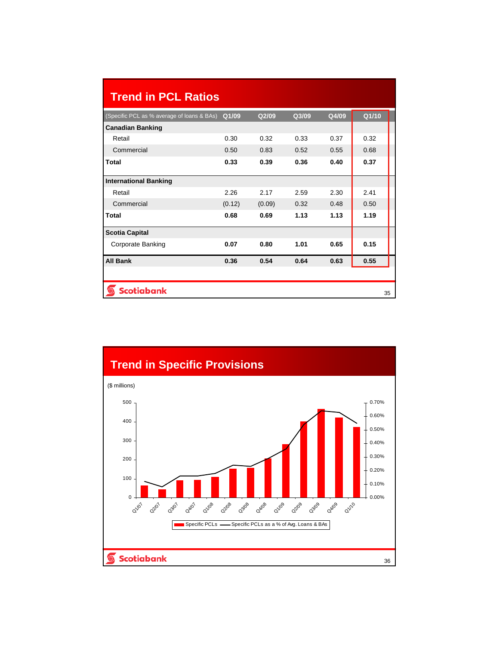| <b>Trend in PCL Ratios</b>                 |        |        |       |       |       |  |
|--------------------------------------------|--------|--------|-------|-------|-------|--|
| (Specific PCL as % average of loans & BAs) | Q1/09  | Q2/09  | Q3/09 | Q4/09 | Q1/10 |  |
| <b>Canadian Banking</b>                    |        |        |       |       |       |  |
| Retail                                     | 0.30   | 0.32   | 0.33  | 0.37  | 0.32  |  |
| Commercial                                 | 0.50   | 0.83   | 0.52  | 0.55  | 0.68  |  |
| <b>Total</b>                               | 0.33   | 0.39   | 0.36  | 0.40  | 0.37  |  |
| <b>International Banking</b>               |        |        |       |       |       |  |
| Retail                                     | 2.26   | 2.17   | 2.59  | 2.30  | 2.41  |  |
| Commercial                                 | (0.12) | (0.09) | 0.32  | 0.48  | 0.50  |  |
| Total                                      | 0.68   | 0.69   | 1.13  | 1.13  | 1.19  |  |
| <b>Scotia Capital</b>                      |        |        |       |       |       |  |
| Corporate Banking                          | 0.07   | 0.80   | 1.01  | 0.65  | 0.15  |  |
| <b>All Bank</b>                            | 0.36   | 0.54   | 0.64  | 0.63  | 0.55  |  |
| Scotiabank                                 |        |        |       |       | 35    |  |

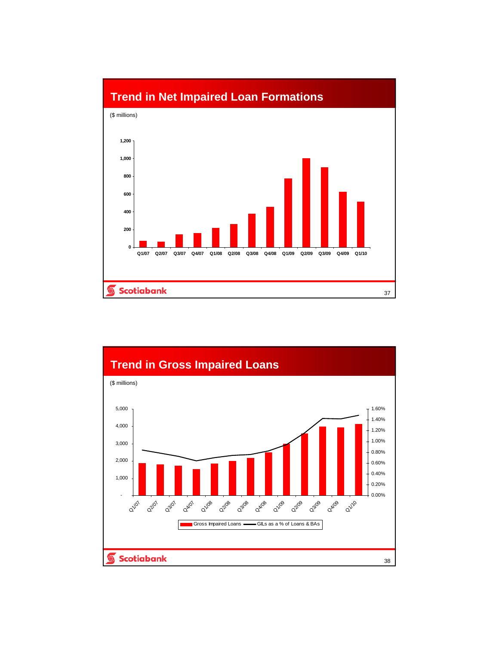

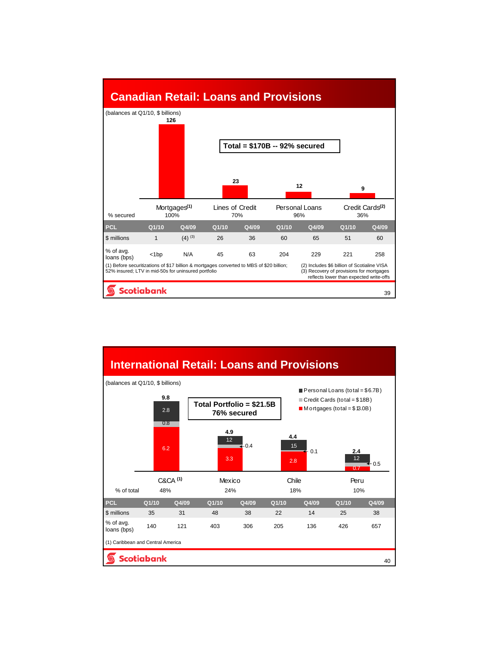

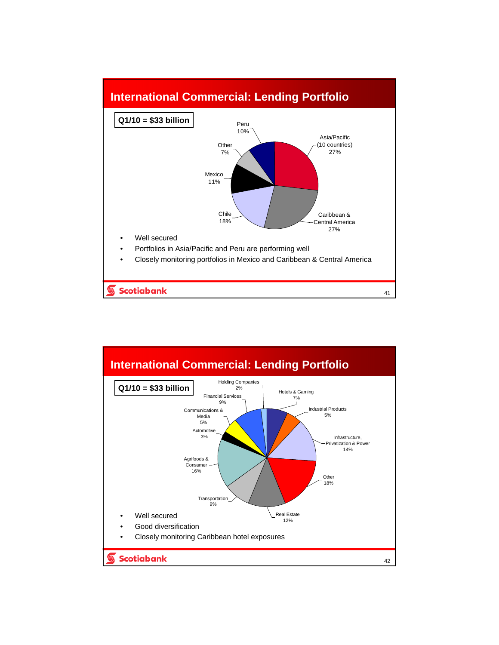